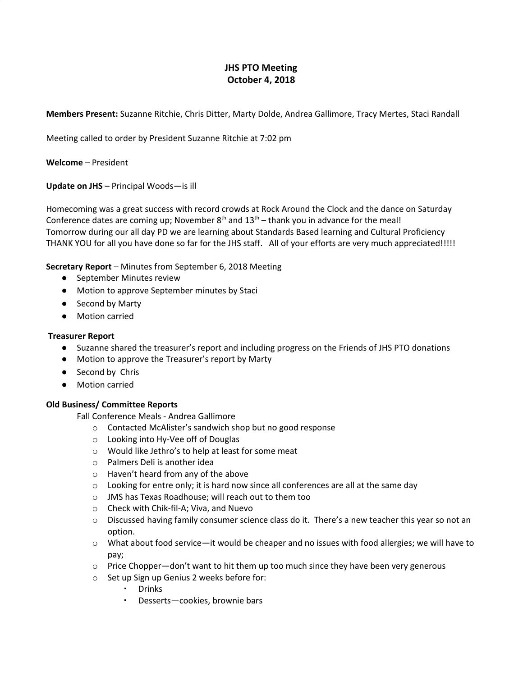# **JHS PTO Meeting October 4, 2018**

**Members Present:** Suzanne Ritchie, Chris Ditter, Marty Dolde, Andrea Gallimore, Tracy Mertes, Staci Randall

Meeting called to order by President Suzanne Ritchie at 7:02 pm

**Welcome** – President

**Update on JHS** – Principal Woods—is ill

Homecoming was a great success with record crowds at Rock Around the Clock and the dance on Saturday Conference dates are coming up; November  $8<sup>th</sup>$  and  $13<sup>th</sup>$  – thank you in advance for the meal! Tomorrow during our all day PD we are learning about Standards Based learning and Cultural Proficiency THANK YOU for all you have done so far for the JHS staff. All of your efforts are very much appreciated!!!!!

**Secretary Report** – Minutes from September 6, 2018 Meeting

- September Minutes review
- Motion to approve September minutes by Staci
- Second by Marty
- Motion carried

#### **Treasurer Report**

- Suzanne shared the treasurer's report and including progress on the Friends of JHS PTO donations
- Motion to approve the Treasurer's report by Marty
- Second by Chris
- Motion carried

### **Old Business/ Committee Reports**

Fall Conference Meals - Andrea Gallimore

- o Contacted McAlister's sandwich shop but no good response
- o Looking into Hy-Vee off of Douglas
- o Would like Jethro's to help at least for some meat
- o Palmers Deli is another idea
- o Haven't heard from any of the above
- $\circ$  Looking for entre only; it is hard now since all conferences are all at the same day
- o JMS has Texas Roadhouse; will reach out to them too
- o Check with Chik-fil-A; Viva, and Nuevo
- o Discussed having family consumer science class do it. There's a new teacher this year so not an option.
- $\circ$  What about food service—it would be cheaper and no issues with food allergies; we will have to pay;
- $\circ$  Price Chopper—don't want to hit them up too much since they have been very generous
- o Set up Sign up Genius 2 weeks before for:
	- Drinks
	- Desserts-cookies, brownie bars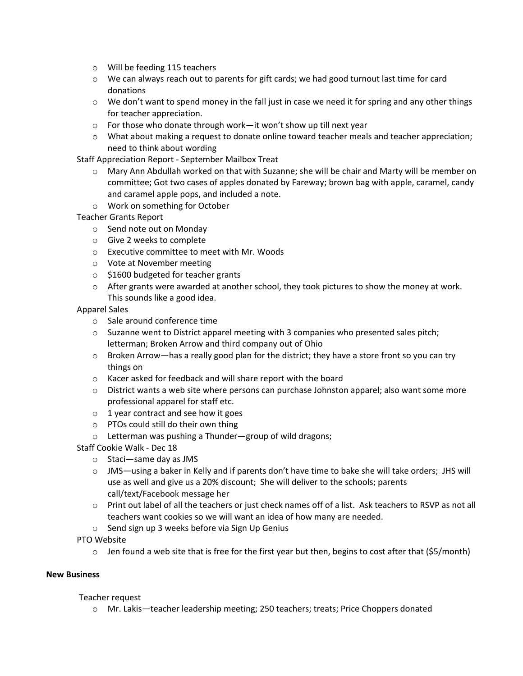- o Will be feeding 115 teachers
- o We can always reach out to parents for gift cards; we had good turnout last time for card donations
- $\circ$  We don't want to spend money in the fall just in case we need it for spring and any other things for teacher appreciation.
- o For those who donate through work—it won't show up till next year
- o What about making a request to donate online toward teacher meals and teacher appreciation; need to think about wording

Staff Appreciation Report - September Mailbox Treat

- o Mary Ann Abdullah worked on that with Suzanne; she will be chair and Marty will be member on committee; Got two cases of apples donated by Fareway; brown bag with apple, caramel, candy and caramel apple pops, and included a note.
- o Work on something for October

## Teacher Grants Report

- o Send note out on Monday
- o Give 2 weeks to complete
- o Executive committee to meet with Mr. Woods
- o Vote at November meeting
- $\circ$  \$1600 budgeted for teacher grants
- $\circ$  After grants were awarded at another school, they took pictures to show the money at work. This sounds like a good idea.

Apparel Sales

- o Sale around conference time
- o Suzanne went to District apparel meeting with 3 companies who presented sales pitch; letterman; Broken Arrow and third company out of Ohio
- $\circ$  Broken Arrow—has a really good plan for the district; they have a store front so you can try things on
- o Kacer asked for feedback and will share report with the board
- $\circ$  District wants a web site where persons can purchase Johnston apparel; also want some more professional apparel for staff etc.
- o 1 year contract and see how it goes
- o PTOs could still do their own thing
- o Letterman was pushing a Thunder—group of wild dragons;
- Staff Cookie Walk Dec 18
	- o Staci—same day as JMS
	- $\circ$  JMS—using a baker in Kelly and if parents don't have time to bake she will take orders; JHS will use as well and give us a 20% discount; She will deliver to the schools; parents call/text/Facebook message her
	- o Print out label of all the teachers or just check names off of a list. Ask teachers to RSVP as not all teachers want cookies so we will want an idea of how many are needed.
	- o Send sign up 3 weeks before via Sign Up Genius

PTO Website

 $\circ$  Jen found a web site that is free for the first year but then, begins to cost after that (\$5/month)

### **New Business**

### Teacher request

o Mr. Lakis—teacher leadership meeting; 250 teachers; treats; Price Choppers donated